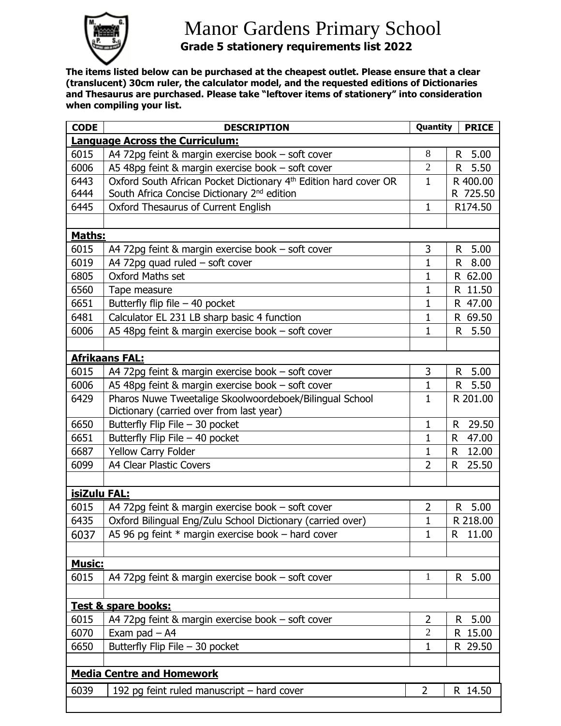

## Manor Gardens Primary School  **Grade 5 stationery requirements list 2022**

**The items listed below can be purchased at the cheapest outlet. Please ensure that a clear (translucent) 30cm ruler, the calculator model, and the requested editions of Dictionaries and Thesaurus are purchased. Please take "leftover items of stationery" into consideration when compiling your list.**

| <b>CODE</b>                            | <b>DESCRIPTION</b>                                                           | Quantity       | <b>PRICE</b> |  |  |  |
|----------------------------------------|------------------------------------------------------------------------------|----------------|--------------|--|--|--|
| <b>Language Across the Curriculum:</b> |                                                                              |                |              |  |  |  |
| 6015                                   | A4 72pg feint & margin exercise book - soft cover                            | 8              | 5.00<br>R    |  |  |  |
| 6006                                   | A5 48pg feint & margin exercise book - soft cover                            | $\overline{2}$ | 5.50<br>R.   |  |  |  |
| 6443                                   | Oxford South African Pocket Dictionary 4 <sup>th</sup> Edition hard cover OR | $\mathbf{1}$   | R 400.00     |  |  |  |
| 6444                                   | South Africa Concise Dictionary 2 <sup>nd</sup> edition                      |                | R 725.50     |  |  |  |
| 6445                                   | Oxford Thesaurus of Current English                                          | $\mathbf{1}$   | R174.50      |  |  |  |
|                                        |                                                                              |                |              |  |  |  |
| Maths:                                 |                                                                              |                |              |  |  |  |
| 6015                                   | A4 72pg feint & margin exercise book - soft cover                            | 3              | 5.00<br>R    |  |  |  |
| 6019                                   | A4 72pg quad ruled $-$ soft cover                                            | 1              | 8.00<br>R    |  |  |  |
| 6805                                   | <b>Oxford Maths set</b>                                                      | $\mathbf{1}$   | R 62.00      |  |  |  |
| 6560                                   | Tape measure                                                                 | $\mathbf{1}$   | R 11.50      |  |  |  |
| 6651                                   | Butterfly flip file $-$ 40 pocket                                            | 1              | R 47.00      |  |  |  |
| 6481                                   | Calculator EL 231 LB sharp basic 4 function                                  | $\mathbf{1}$   | R 69.50      |  |  |  |
| 6006                                   | A5 48pg feint & margin exercise book - soft cover                            | $\mathbf{1}$   | 5.50<br>R    |  |  |  |
|                                        |                                                                              |                |              |  |  |  |
|                                        | <b>Afrikaans FAL:</b>                                                        |                |              |  |  |  |
| 6015                                   | A4 72pg feint & margin exercise book - soft cover                            | 3              | 5.00<br>R    |  |  |  |
| 6006                                   | A5 48pg feint & margin exercise book - soft cover                            | $\mathbf{1}$   | 5.50<br>R    |  |  |  |
| 6429                                   | Pharos Nuwe Tweetalige Skoolwoordeboek/Bilingual School                      | $\mathbf{1}$   | R 201.00     |  |  |  |
|                                        | Dictionary (carried over from last year)                                     |                |              |  |  |  |
| 6650                                   | Butterfly Flip File - 30 pocket                                              | 1              | 29.50<br>R   |  |  |  |
| 6651                                   | Butterfly Flip File - 40 pocket                                              | $\mathbf{1}$   | 47.00<br>R.  |  |  |  |
| 6687                                   | Yellow Carry Folder                                                          | $\mathbf{1}$   | 12.00<br>R.  |  |  |  |
| 6099                                   | A4 Clear Plastic Covers                                                      | $\overline{2}$ | R<br>25.50   |  |  |  |
|                                        |                                                                              |                |              |  |  |  |
| isiZulu FAL:                           |                                                                              |                |              |  |  |  |
| 6015                                   | A4 72pg feint & margin exercise book - soft cover                            | $\overline{2}$ | 5.00<br>R.   |  |  |  |
| 6435                                   | Oxford Bilingual Eng/Zulu School Dictionary (carried over)                   | $\mathbf 1$    | R 218.00     |  |  |  |
| 6037                                   | A5 96 pg feint $*$ margin exercise book – hard cover                         | 1              | R.<br>11.00  |  |  |  |
|                                        |                                                                              |                |              |  |  |  |
| <b>Music:</b>                          |                                                                              |                |              |  |  |  |
| 6015                                   | A4 72pg feint & margin exercise book - soft cover                            | $\mathbf{1}$   | 5.00<br>R.   |  |  |  |
|                                        |                                                                              |                |              |  |  |  |
| Test & spare books:                    |                                                                              |                |              |  |  |  |
| 6015                                   | A4 72pg feint & margin exercise book - soft cover                            | $\overline{2}$ | 5.00<br>R.   |  |  |  |
| 6070                                   | Exam pad $-$ A4                                                              | $\overline{2}$ | R 15.00      |  |  |  |
| 6650                                   | Butterfly Flip File - 30 pocket                                              | 1              | R 29.50      |  |  |  |
|                                        |                                                                              |                |              |  |  |  |
| <b>Media Centre and Homework</b>       |                                                                              |                |              |  |  |  |
| 6039                                   | 192 pg feint ruled manuscript - hard cover                                   | $\overline{2}$ | R 14.50      |  |  |  |
|                                        |                                                                              |                |              |  |  |  |